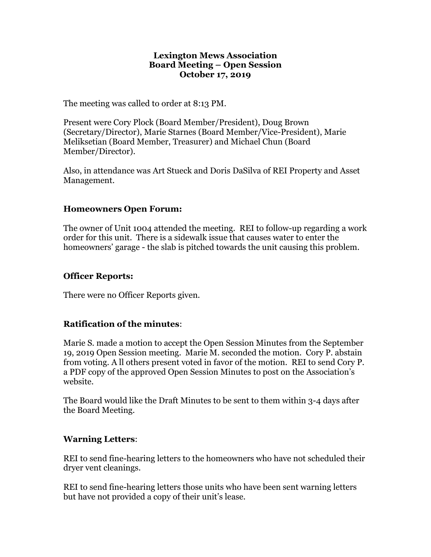#### **Lexington Mews Association Board Meeting – Open Session October 17, 2019**

The meeting was called to order at 8:13 PM.

Present were Cory Plock (Board Member/President), Doug Brown (Secretary/Director), Marie Starnes (Board Member/Vice-President), Marie Meliksetian (Board Member, Treasurer) and Michael Chun (Board Member/Director).

Also, in attendance was Art Stueck and Doris DaSilva of REI Property and Asset Management.

## **Homeowners Open Forum:**

The owner of Unit 1004 attended the meeting. REI to follow-up regarding a work order for this unit. There is a sidewalk issue that causes water to enter the homeowners' garage - the slab is pitched towards the unit causing this problem.

## **Officer Reports:**

There were no Officer Reports given.

## **Ratification of the minutes**:

Marie S. made a motion to accept the Open Session Minutes from the September 19, 2019 Open Session meeting. Marie M. seconded the motion. Cory P. abstain from voting. A ll others present voted in favor of the motion. REI to send Cory P. a PDF copy of the approved Open Session Minutes to post on the Association's website.

The Board would like the Draft Minutes to be sent to them within 3-4 days after the Board Meeting.

## **Warning Letters**:

REI to send fine-hearing letters to the homeowners who have not scheduled their dryer vent cleanings.

REI to send fine-hearing letters those units who have been sent warning letters but have not provided a copy of their unit's lease.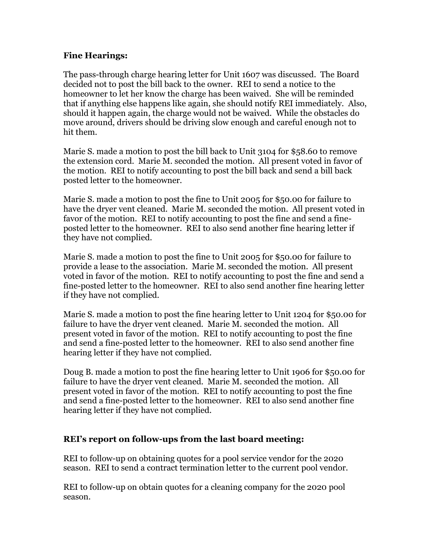## **Fine Hearings:**

The pass-through charge hearing letter for Unit 1607 was discussed. The Board decided not to post the bill back to the owner. REI to send a notice to the homeowner to let her know the charge has been waived. She will be reminded that if anything else happens like again, she should notify REI immediately. Also, should it happen again, the charge would not be waived. While the obstacles do move around, drivers should be driving slow enough and careful enough not to hit them.

Marie S. made a motion to post the bill back to Unit 3104 for \$58.60 to remove the extension cord. Marie M. seconded the motion. All present voted in favor of the motion. REI to notify accounting to post the bill back and send a bill back posted letter to the homeowner.

Marie S. made a motion to post the fine to Unit 2005 for \$50.00 for failure to have the dryer vent cleaned. Marie M. seconded the motion. All present voted in favor of the motion. REI to notify accounting to post the fine and send a fineposted letter to the homeowner. REI to also send another fine hearing letter if they have not complied.

Marie S. made a motion to post the fine to Unit 2005 for \$50.00 for failure to provide a lease to the association. Marie M. seconded the motion. All present voted in favor of the motion. REI to notify accounting to post the fine and send a fine-posted letter to the homeowner. REI to also send another fine hearing letter if they have not complied.

Marie S. made a motion to post the fine hearing letter to Unit 1204 for \$50.00 for failure to have the dryer vent cleaned. Marie M. seconded the motion. All present voted in favor of the motion. REI to notify accounting to post the fine and send a fine-posted letter to the homeowner. REI to also send another fine hearing letter if they have not complied.

Doug B. made a motion to post the fine hearing letter to Unit 1906 for \$50.00 for failure to have the dryer vent cleaned. Marie M. seconded the motion. All present voted in favor of the motion. REI to notify accounting to post the fine and send a fine-posted letter to the homeowner. REI to also send another fine hearing letter if they have not complied.

## **REI's report on follow-ups from the last board meeting:**

REI to follow-up on obtaining quotes for a pool service vendor for the 2020 season. REI to send a contract termination letter to the current pool vendor.

REI to follow-up on obtain quotes for a cleaning company for the 2020 pool season.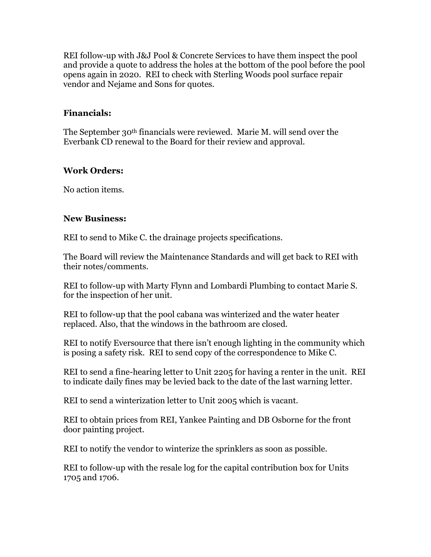REI follow-up with J&J Pool & Concrete Services to have them inspect the pool and provide a quote to address the holes at the bottom of the pool before the pool opens again in 2020. REI to check with Sterling Woods pool surface repair vendor and Nejame and Sons for quotes.

### **Financials:**

The September 30th financials were reviewed. Marie M. will send over the Everbank CD renewal to the Board for their review and approval.

## **Work Orders:**

No action items.

#### **New Business:**

REI to send to Mike C. the drainage projects specifications.

The Board will review the Maintenance Standards and will get back to REI with their notes/comments.

REI to follow-up with Marty Flynn and Lombardi Plumbing to contact Marie S. for the inspection of her unit.

REI to follow-up that the pool cabana was winterized and the water heater replaced. Also, that the windows in the bathroom are closed.

REI to notify Eversource that there isn't enough lighting in the community which is posing a safety risk. REI to send copy of the correspondence to Mike C.

REI to send a fine-hearing letter to Unit 2205 for having a renter in the unit. REI to indicate daily fines may be levied back to the date of the last warning letter.

REI to send a winterization letter to Unit 2005 which is vacant.

REI to obtain prices from REI, Yankee Painting and DB Osborne for the front door painting project.

REI to notify the vendor to winterize the sprinklers as soon as possible.

REI to follow-up with the resale log for the capital contribution box for Units 1705 and 1706.